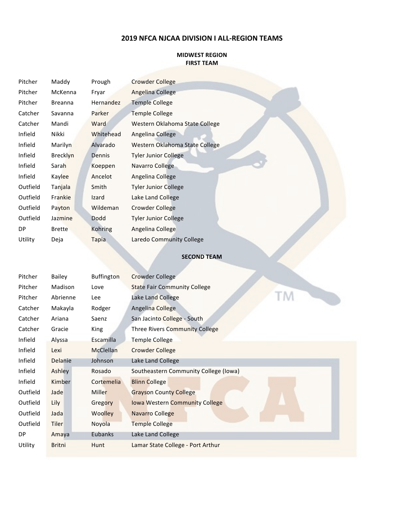## **2019 NFCA NJCAA DIVISION I ALL-REGION TEAMS**

#### **MIDWEST REGION FIRST TEAM**

| Pitcher  | Maddy           | Prough    | <b>Crowder College</b>         |
|----------|-----------------|-----------|--------------------------------|
| Pitcher  | McKenna         | Fryar     | Angelina College               |
| Pitcher  | <b>Breanna</b>  | Hernandez | <b>Temple College</b>          |
| Catcher  | Savanna         | Parker    | <b>Temple College</b>          |
| Catcher  | Mandi           | Ward      | Western Oklahoma State College |
| Infield  | Nikki           | Whitehead | Angelina College               |
| Infield  | Marilyn         | Alvarado  | Western Oklahoma State College |
| Infield  | <b>Brecklyn</b> | Dennis    | <b>Tyler Junior College</b>    |
| Infield  | Sarah           | Koeppen   | Navarro College                |
| Infield  | Kaylee          | Ancelot   | Angelina College               |
| Outfield | Tanjala         | Smith     | <b>Tyler Junior College</b>    |
| Outfield | Frankie         | Izard     | Lake Land College              |
| Outfield | Payton          | Wildeman  | Crowder College                |
| Outfield | Jazmine         | Dodd      | <b>Tyler Junior College</b>    |
| DP.      | <b>Brette</b>   | Kohring   | Angelina College               |
| Utility  | Deja            | Tapia     | Laredo Community College       |

### **SECOND TEAM**

| Pitcher  | Bailey        | <b>Buffington</b> | <b>Crowder College</b>                |  |
|----------|---------------|-------------------|---------------------------------------|--|
| Pitcher  | Madison       | Love              | <b>State Fair Community College</b>   |  |
| Pitcher  | Abrienne      | Lee               | Lake Land College                     |  |
| Catcher  | Makayla       | Rodger            | Angelina College                      |  |
| Catcher  | Ariana        | Saenz             | San Jacinto College - South           |  |
| Catcher  | Gracie        | King              | <b>Three Rivers Community College</b> |  |
| Infield  | Alyssa        | Escamilla         | <b>Temple College</b>                 |  |
| Infield  | Lexi          | McClellan         | Crowder College                       |  |
| Infield  | Delanie       | Johnson           | Lake Land College                     |  |
| Infield  | Ashley        | Rosado            | Southeastern Community College (Iowa) |  |
| Infield  | <b>Kimber</b> | Cortemelia        | <b>Blinn College</b>                  |  |
| Outfield | Jade          | Miller            | <b>Grayson County College</b>         |  |
| Outfield | Lily          | Gregory           | <b>Iowa Western Community College</b> |  |
| Outfield | Jada          | Woolley           | <b>Navarro College</b>                |  |
| Outfield | <b>Tiler</b>  | Noyola            | <b>Temple College</b>                 |  |
| DP.      | Amaya         | Eubanks           | Lake Land College                     |  |
| Utility  | <b>Britni</b> | Hunt              | Lamar State College - Port Arthur     |  |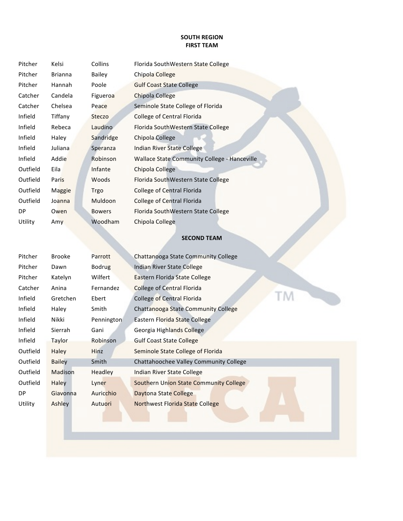## **SOUTH REGION FIRST TEAM**

| Pitcher  | Kelsi          | Collins       | Florida SouthWestern State College                  |
|----------|----------------|---------------|-----------------------------------------------------|
| Pitcher  | <b>Brianna</b> | <b>Bailey</b> | Chipola College                                     |
| Pitcher  | Hannah         | Poole         | <b>Gulf Coast State College</b>                     |
| Catcher  | Candela        | Figueroa      | Chipola College                                     |
| Catcher  | Chelsea        | Peace         | Seminole State College of Florida                   |
| Infield  | Tiffany        | Steczo        | College of Central Florida                          |
| Infield  | Rebeca         | Laudino       | Florida SouthWestern State College                  |
| Infield  | Haley          | Sandridge     | Chipola College                                     |
| Infield  | Juliana        | Speranza      | Indian River State College                          |
| Infield  | Addie          | Robinson      | <b>Wallace State Community College - Hanceville</b> |
| Outfield | Eila           | Infante       | Chipola College                                     |
| Outfield | Paris          | Woods         | Florida SouthWestern State College                  |
| Outfield | Maggie         | Trgo          | <b>College of Central Florida</b>                   |
| Outfield | Joanna         | Muldoon       | <b>College of Central Florida</b>                   |
| DP.      | Owen           | <b>Bowers</b> | Florida SouthWestern State College                  |
| Utility  | Amy            | Woodham       | Chipola College                                     |

## **SECOND TEAM**

| Pitcher  | <b>Brooke</b> | Parrott       | Chattanooga State Community College           |
|----------|---------------|---------------|-----------------------------------------------|
| Pitcher  | Dawn          | <b>Bodrug</b> | Indian River State College                    |
| Pitcher  | Katelyn       | Wilfert       | Eastern Florida State College                 |
| Catcher  | Anina         | Fernandez     | <b>College of Central Florida</b>             |
| Infield  | Gretchen      | Ebert         | College of Central Florida                    |
| Infield  | Haley         | Smith         | Chattanooga State Community College           |
| Infield  | Nikki         | Pennington    | Eastern Florida State College                 |
| Infield  | Sierrah       | Gani          | Georgia Highlands College                     |
| Infield  | <b>Taylor</b> | Robinson      | <b>Gulf Coast State College</b>               |
| Outfield | Haley         | Hinz          | Seminole State College of Florida             |
| Outfield | <b>Bailey</b> | Smith         | Chattahoochee Valley Community College        |
| Outfield | Madison       | Headley       | Indian River State College                    |
| Outfield | <b>Haley</b>  | Lyner         | <b>Southern Union State Community College</b> |
| DP       | Giavonna      | Auricchio     | Daytona State College                         |
| Utility  | Ashley        | Autuori       | <b>Northwest Florida State College</b>        |
|          |               |               |                                               |